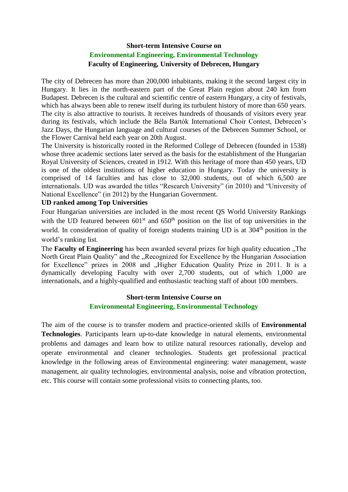#### **Short-term Intensive Course on Environmental Engineering, Environmental Technology Faculty of Engineering, University of Debrecen, Hungary**

The city of Debrecen has more than 200,000 inhabitants, making it the second largest city in Hungary. It lies in the north-eastern part of the Great Plain region about 240 km from Budapest. Debrecen is the cultural and scientific centre of eastern Hungary, a city of festivals, which has always been able to renew itself during its turbulent history of more than 650 years. The city is also attractive to tourists. It receives hundreds of thousands of visitors every year during its festivals, which include the Béla Bartók International Choir Contest, Debrecen's Jazz Days, the Hungarian language and cultural courses of the Debrecen Summer School, or the Flower Carnival held each year on 20th August.

The University is historically rooted in the Reformed College of Debrecen (founded in 1538) whose three academic sections later served as the basis for the establishment of the Hungarian Royal University of Sciences, created in 1912. With this heritage of more than 450 years, UD is one of the oldest institutions of higher education in Hungary. Today the university is comprised of 14 faculties and has close to 32,000 students, out of which 6,500 are internationals. UD was awarded the titles "Research University" (in 2010) and "University of National Excellence" (in 2012) by the Hungarian Government.

#### **UD ranked among Top Universities**

Four Hungarian universities are included in the most recent QS World University Rankings with the UD featured between  $601<sup>st</sup>$  and  $650<sup>th</sup>$  position on the list of top universities in the world. In consideration of quality of foreign students training UD is at 304<sup>th</sup> position in the world's ranking list.

The **Faculty of Engineering** has been awarded several prizes for high quality education ..The North Great Plain Quality" and the "Recognized for Excellence by the Hungarian Association for Excellence" prizes in 2008 and "Higher Education Quality Prize in 2011. It is a dynamically developing Faculty with over 2,700 students, out of which 1,000 are internationals, and a highly-qualified and enthusiastic teaching staff of about 100 members.

#### **Short-term Intensive Course on Environmental Engineering, Environmental Technology**

The aim of the course is to transfer modern and practice-oriented skills of **Environmental Technologies**. Participants learn up-to-date knowledge in natural elements, environmental problems and damages and learn how to utilize natural resources rationally, develop and operate environmental and cleaner technologies. Students get professional practical knowledge in the following areas of Environmental engineering: water management, waste management, air quality technologies, environmental analysis, noise and vibration protection, etc. This course will contain some professional visits to connecting plants, too.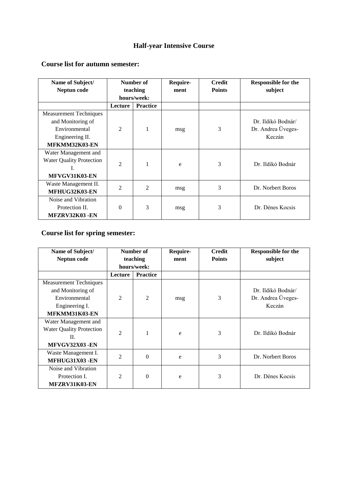# **Half-year Intensive Course**

#### **Course list for autumn semester:**

| Name of Subject/                | Number of      |                 | Require- | <b>Credit</b> | <b>Responsible for the</b> |
|---------------------------------|----------------|-----------------|----------|---------------|----------------------------|
| Neptun code                     | teaching       |                 | ment     | <b>Points</b> | subject                    |
|                                 | hours/week:    |                 |          |               |                            |
|                                 | Lecture        | <b>Practice</b> |          |               |                            |
| <b>Measurement Techniques</b>   |                |                 |          |               |                            |
| and Monitoring of               |                |                 |          |               | Dr. Ildikó Bodnár/         |
| Environmental                   | $\overline{2}$ | 1               | msg      | 3             | Dr. Andrea Üveges-         |
| Engineering II.                 |                |                 |          |               | Keczán                     |
| MFKMM32K03-EN                   |                |                 |          |               |                            |
| Water Management and            |                |                 |          |               |                            |
| <b>Water Quality Protection</b> | $\overline{2}$ | 1               |          | 3             | Dr. Ildikó Bodnár          |
| L                               |                |                 | e        |               |                            |
| MFVGV31K03-EN                   |                |                 |          |               |                            |
| Waste Management II.            | $\overline{2}$ | $\overline{2}$  |          | 3             | Dr. Norbert Boros          |
| MFHUG32K03-EN                   |                |                 | msg      |               |                            |
| Noise and Vibration             |                |                 |          |               |                            |
| Protection II.                  | $\Omega$       | 3               | msg      | 3             | Dr. Dénes Kocsis           |
| MFZRV32K03-EN                   |                |                 |          |               |                            |

### **Course list for spring semester:**

| Name of Subject/<br>Neptun code | Number of<br>teaching |                 | Require-<br>ment | <b>Credit</b><br><b>Points</b> | <b>Responsible for the</b><br>subject |
|---------------------------------|-----------------------|-----------------|------------------|--------------------------------|---------------------------------------|
|                                 | hours/week:           |                 |                  |                                |                                       |
|                                 | Lecture               | <b>Practice</b> |                  |                                |                                       |
| <b>Measurement Techniques</b>   |                       |                 |                  |                                |                                       |
| and Monitoring of               |                       |                 |                  |                                | Dr. Ildikó Bodnár/                    |
| Environmental                   | $\overline{c}$        | $\overline{2}$  | msg              | 3                              | Dr. Andrea Üveges-                    |
| Engineering I.                  |                       |                 |                  |                                | Keczán                                |
| MFKMM31K03-EN                   |                       |                 |                  |                                |                                       |
| Water Management and            |                       |                 |                  |                                |                                       |
| <b>Water Quality Protection</b> | $\mathfrak{D}$        | 1               |                  | 3                              | Dr. Ildikó Bodnár                     |
| H.                              |                       |                 | e                |                                |                                       |
| MFVGV32X03 -EN                  |                       |                 |                  |                                |                                       |
| Waste Management I.             | $\mathfrak{D}$        | $\theta$        |                  | 3                              | Dr. Norbert Boros                     |
| MFHUG31X03 -EN                  |                       |                 | e                |                                |                                       |
| Noise and Vibration             |                       |                 |                  |                                |                                       |
| Protection I.                   | $\overline{c}$        | $\theta$        | e                | 3                              | Dr. Dénes Kocsis                      |
| MFZRV31K03-EN                   |                       |                 |                  |                                |                                       |